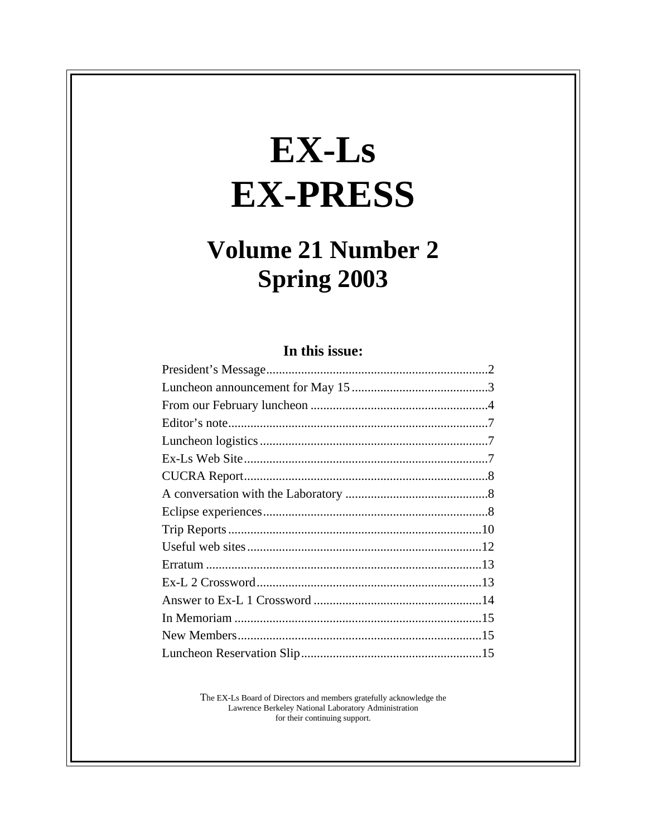# EX-Ls **EX-PRESS**

# **Volume 21 Number 2 Spring 2003**

# In this issue:

The EX-Ls Board of Directors and members gratefully acknowledge the Lawrence Berkeley National Laboratory Administration<br>for their continuing support.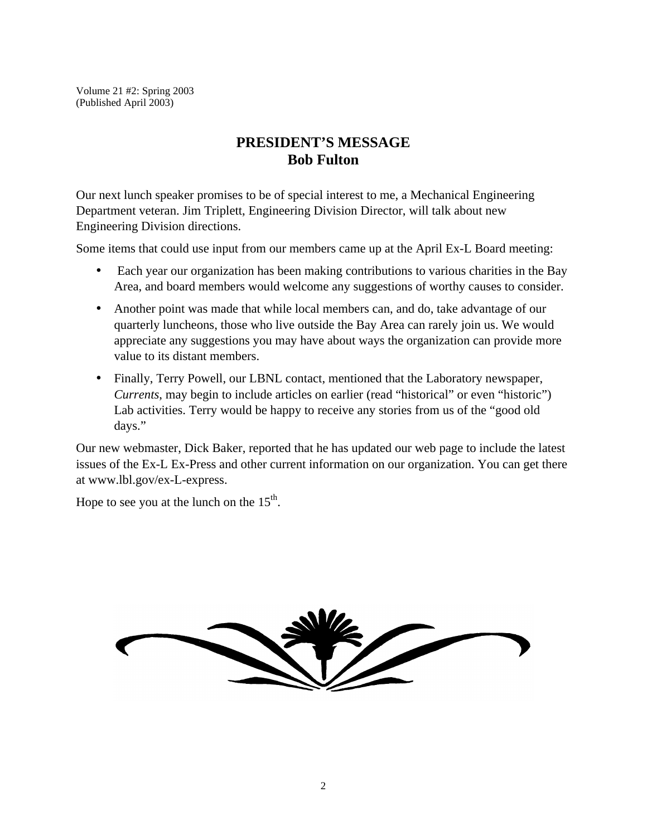Volume 21 #2: Spring 2003 (Published April 2003)

# **PRESIDENT'S MESSAGE Bob Fulton**

Our next lunch speaker promises to be of special interest to me, a Mechanical Engineering Department veteran. Jim Triplett, Engineering Division Director, will talk about new Engineering Division directions.

Some items that could use input from our members came up at the April Ex-L Board meeting:

- Each year our organization has been making contributions to various charities in the Bay Area, and board members would welcome any suggestions of worthy causes to consider.
- Another point was made that while local members can, and do, take advantage of our quarterly luncheons, those who live outside the Bay Area can rarely join us. We would appreciate any suggestions you may have about ways the organization can provide more value to its distant members.
- Finally, Terry Powell, our LBNL contact, mentioned that the Laboratory newspaper, *Currents*, may begin to include articles on earlier (read "historical" or even "historic") Lab activities. Terry would be happy to receive any stories from us of the "good old days."

Our new webmaster, Dick Baker, reported that he has updated our web page to include the latest issues of the Ex-L Ex-Press and other current information on our organization. You can get there at www.lbl.gov/ex-L-express.

Hope to see you at the lunch on the  $15<sup>th</sup>$ .

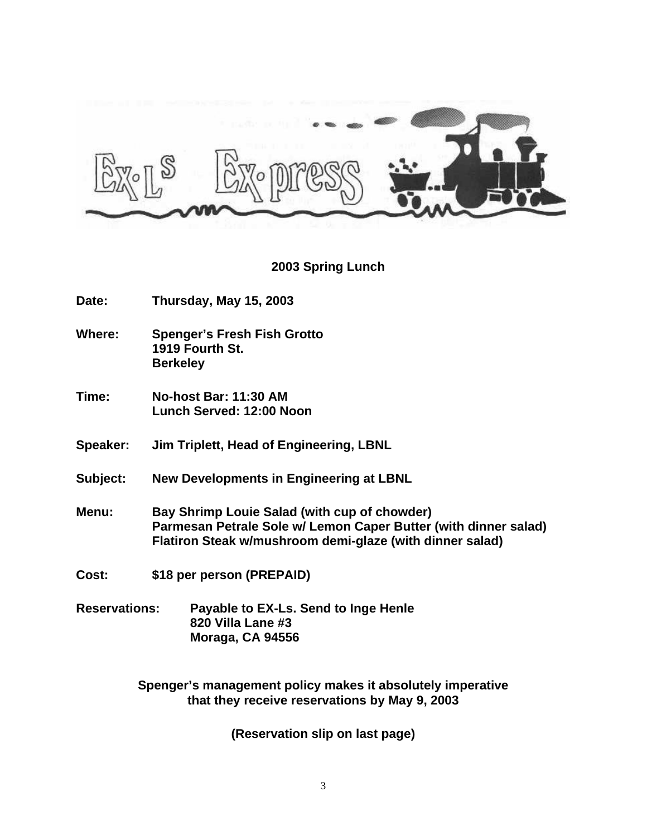

#### **2003 Spring Lunch**

**Date: Thursday, May 15, 2003**

**Where: Spenger's Fresh Fish Grotto 1919 Fourth St. Berkeley**

- **Time: No-host Bar: 11:30 AM Lunch Served: 12:00 Noon**
- **Speaker: Jim Triplett, Head of Engineering, LBNL**
- **Subject: New Developments in Engineering at LBNL**
- **Menu: Bay Shrimp Louie Salad (with cup of chowder) Parmesan Petrale Sole w/ Lemon Caper Butter (with dinner salad) Flatiron Steak w/mushroom demi-glaze (with dinner salad)**
- **Cost: \$18 per person (PREPAID)**
- **Reservations: Payable to EX-Ls. Send to Inge Henle 820 Villa Lane #3 Moraga, CA 94556**

**Spenger's management policy makes it absolutely imperative that they receive reservations by May 9, 2003**

**(Reservation slip on last page)**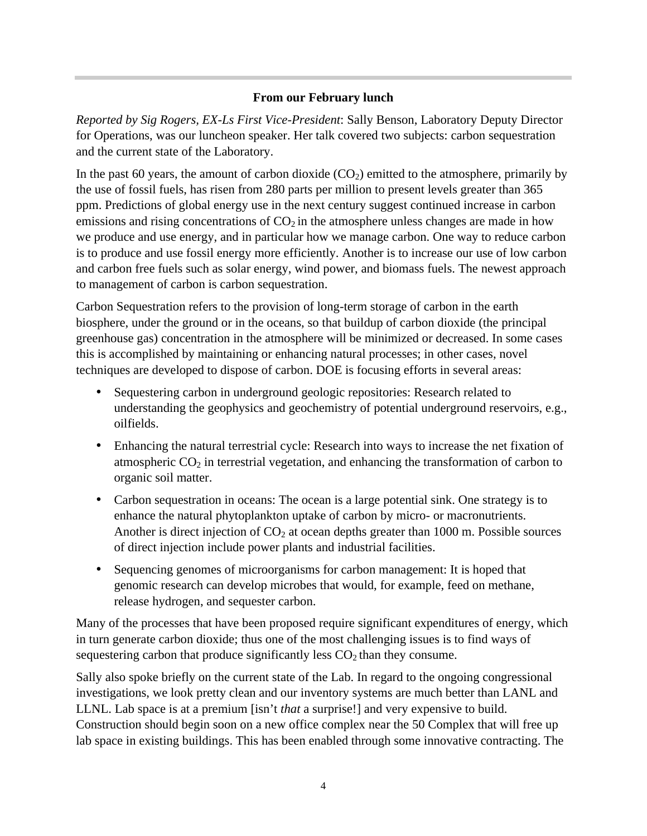#### **From our February lunch**

*Reported by Sig Rogers, EX-Ls First Vice-President*: Sally Benson, Laboratory Deputy Director for Operations, was our luncheon speaker. Her talk covered two subjects: carbon sequestration and the current state of the Laboratory.

In the past 60 years, the amount of carbon dioxide  $(CO<sub>2</sub>)$  emitted to the atmosphere, primarily by the use of fossil fuels, has risen from 280 parts per million to present levels greater than 365 ppm. Predictions of global energy use in the next century suggest continued increase in carbon emissions and rising concentrations of  $CO<sub>2</sub>$  in the atmosphere unless changes are made in how we produce and use energy, and in particular how we manage carbon. One way to reduce carbon is to produce and use fossil energy more efficiently. Another is to increase our use of low carbon and carbon free fuels such as solar energy, wind power, and biomass fuels. The newest approach to management of carbon is carbon sequestration.

Carbon Sequestration refers to the provision of long-term storage of carbon in the earth biosphere, under the ground or in the oceans, so that buildup of carbon dioxide (the principal greenhouse gas) concentration in the atmosphere will be minimized or decreased. In some cases this is accomplished by maintaining or enhancing natural processes; in other cases, novel techniques are developed to dispose of carbon. DOE is focusing efforts in several areas:

- Sequestering carbon in underground geologic repositories: Research related to understanding the geophysics and geochemistry of potential underground reservoirs, e.g., oilfields.
- Enhancing the natural terrestrial cycle: Research into ways to increase the net fixation of atmospheric  $CO<sub>2</sub>$  in terrestrial vegetation, and enhancing the transformation of carbon to organic soil matter.
- Carbon sequestration in oceans: The ocean is a large potential sink. One strategy is to enhance the natural phytoplankton uptake of carbon by micro- or macronutrients. Another is direct injection of  $CO<sub>2</sub>$  at ocean depths greater than 1000 m. Possible sources of direct injection include power plants and industrial facilities.
- Sequencing genomes of microorganisms for carbon management: It is hoped that genomic research can develop microbes that would, for example, feed on methane, release hydrogen, and sequester carbon.

Many of the processes that have been proposed require significant expenditures of energy, which in turn generate carbon dioxide; thus one of the most challenging issues is to find ways of sequestering carbon that produce significantly less  $CO<sub>2</sub>$  than they consume.

Sally also spoke briefly on the current state of the Lab. In regard to the ongoing congressional investigations, we look pretty clean and our inventory systems are much better than LANL and LLNL. Lab space is at a premium [isn't *that* a surprise!] and very expensive to build. Construction should begin soon on a new office complex near the 50 Complex that will free up lab space in existing buildings. This has been enabled through some innovative contracting. The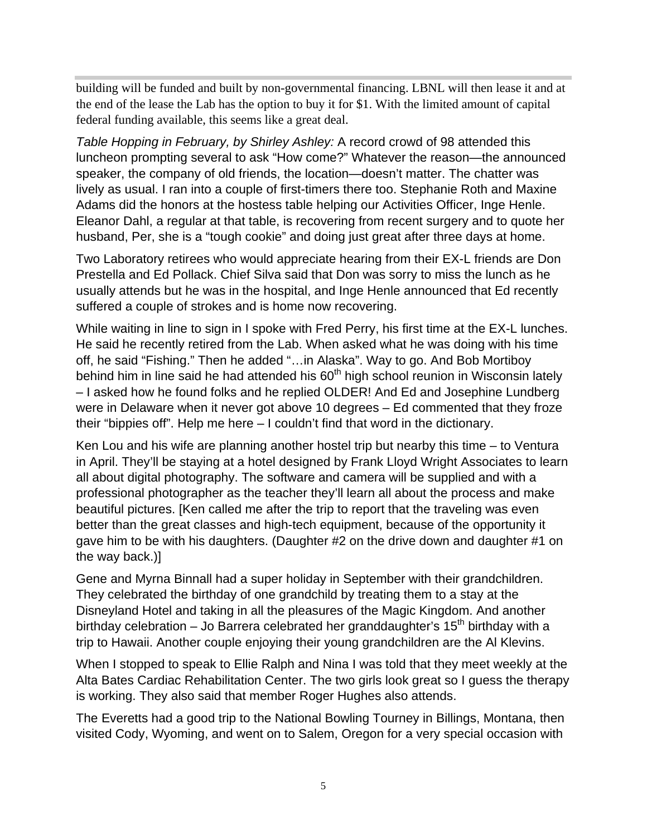building will be funded and built by non-governmental financing. LBNL will then lease it and at the end of the lease the Lab has the option to buy it for \$1. With the limited amount of capital federal funding available, this seems like a great deal.

*Table Hopping in February, by Shirley Ashley:* A record crowd of 98 attended this luncheon prompting several to ask "How come?" Whatever the reason—the announced speaker, the company of old friends, the location—doesn't matter. The chatter was lively as usual. I ran into a couple of first-timers there too. Stephanie Roth and Maxine Adams did the honors at the hostess table helping our Activities Officer, Inge Henle. Eleanor Dahl, a regular at that table, is recovering from recent surgery and to quote her husband, Per, she is a "tough cookie" and doing just great after three days at home.

Two Laboratory retirees who would appreciate hearing from their EX-L friends are Don Prestella and Ed Pollack. Chief Silva said that Don was sorry to miss the lunch as he usually attends but he was in the hospital, and Inge Henle announced that Ed recently suffered a couple of strokes and is home now recovering.

While waiting in line to sign in I spoke with Fred Perry, his first time at the EX-L lunches. He said he recently retired from the Lab. When asked what he was doing with his time off, he said "Fishing." Then he added "…in Alaska". Way to go. And Bob Mortiboy behind him in line said he had attended his  $60<sup>th</sup>$  high school reunion in Wisconsin lately – I asked how he found folks and he replied OLDER! And Ed and Josephine Lundberg were in Delaware when it never got above 10 degrees – Ed commented that they froze their "bippies off". Help me here – I couldn't find that word in the dictionary.

Ken Lou and his wife are planning another hostel trip but nearby this time – to Ventura in April. They'll be staying at a hotel designed by Frank Lloyd Wright Associates to learn all about digital photography. The software and camera will be supplied and with a professional photographer as the teacher they'll learn all about the process and make beautiful pictures. [Ken called me after the trip to report that the traveling was even better than the great classes and high-tech equipment, because of the opportunity it gave him to be with his daughters. (Daughter #2 on the drive down and daughter #1 on the way back.)]

Gene and Myrna Binnall had a super holiday in September with their grandchildren. They celebrated the birthday of one grandchild by treating them to a stay at the Disneyland Hotel and taking in all the pleasures of the Magic Kingdom. And another birthday celebration – Jo Barrera celebrated her granddaughter's  $15<sup>th</sup>$  birthday with a trip to Hawaii. Another couple enjoying their young grandchildren are the Al Klevins.

When I stopped to speak to Ellie Ralph and Nina I was told that they meet weekly at the Alta Bates Cardiac Rehabilitation Center. The two girls look great so I guess the therapy is working. They also said that member Roger Hughes also attends.

The Everetts had a good trip to the National Bowling Tourney in Billings, Montana, then visited Cody, Wyoming, and went on to Salem, Oregon for a very special occasion with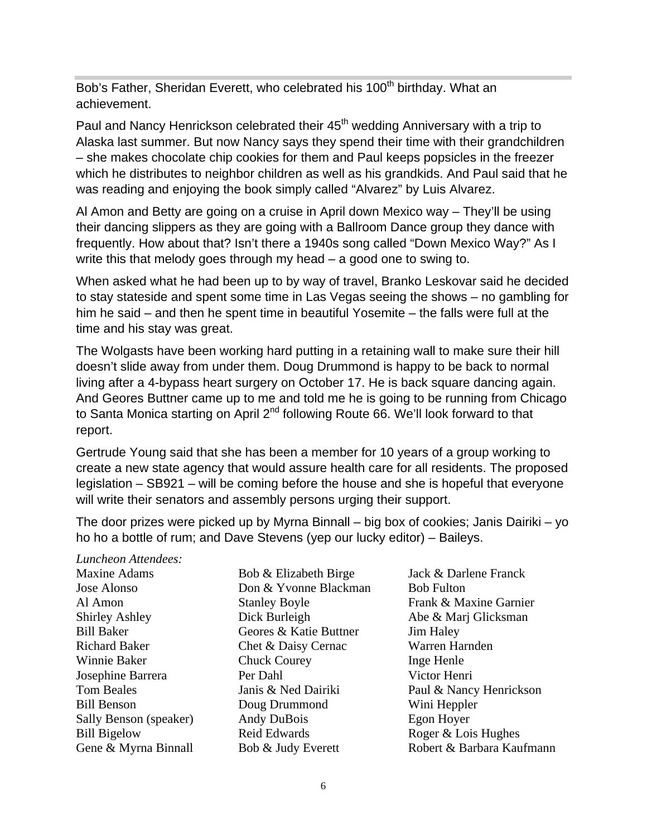Bob's Father, Sheridan Everett, who celebrated his 100<sup>th</sup> birthday. What an achievement.

Paul and Nancy Henrickson celebrated their 45<sup>th</sup> wedding Anniversary with a trip to Alaska last summer. But now Nancy says they spend their time with their grandchildren – she makes chocolate chip cookies for them and Paul keeps popsicles in the freezer which he distributes to neighbor children as well as his grandkids. And Paul said that he was reading and enjoying the book simply called "Alvarez" by Luis Alvarez.

Al Amon and Betty are going on a cruise in April down Mexico way – They'll be using their dancing slippers as they are going with a Ballroom Dance group they dance with frequently. How about that? Isn't there a 1940s song called "Down Mexico Way?" As I write this that melody goes through my head – a good one to swing to.

When asked what he had been up to by way of travel, Branko Leskovar said he decided to stay stateside and spent some time in Las Vegas seeing the shows – no gambling for him he said – and then he spent time in beautiful Yosemite – the falls were full at the time and his stay was great.

The Wolgasts have been working hard putting in a retaining wall to make sure their hill doesn't slide away from under them. Doug Drummond is happy to be back to normal living after a 4-bypass heart surgery on October 17. He is back square dancing again. And Geores Buttner came up to me and told me he is going to be running from Chicago to Santa Monica starting on April 2<sup>nd</sup> following Route 66. We'll look forward to that report.

Gertrude Young said that she has been a member for 10 years of a group working to create a new state agency that would assure health care for all residents. The proposed legislation – SB921 – will be coming before the house and she is hopeful that everyone will write their senators and assembly persons urging their support.

The door prizes were picked up by Myrna Binnall – big box of cookies; Janis Dairiki – yo ho ho a bottle of rum; and Dave Stevens (yep our lucky editor) – Baileys.

*Luncheon Attendees:* Maxine Adams Jose Alonso Al Amon Shirley Ashley Bill Baker Richard Baker Winnie Baker Josephine Barrera Tom Beales Bill Benson Sally Benson (speaker) Bill Bigelow Gene & Myrna Binnall

Bob & Elizabeth Birge Don & Yvonne Blackman Stanley Boyle Dick Burleigh Geores & Katie Buttner Chet & Daisy Cernac Chuck Courey Per Dahl Janis & Ned Dairiki Doug Drummond Andy DuBois Reid Edwards Bob & Judy Everett

Jack & Darlene Franck Bob Fulton Frank & Maxine Garnier Abe & Marj Glicksman Jim Haley Warren Harnden Inge Henle Victor Henri Paul & Nancy Henrickson Wini Heppler Egon Hoyer Roger & Lois Hughes Robert & Barbara Kaufmann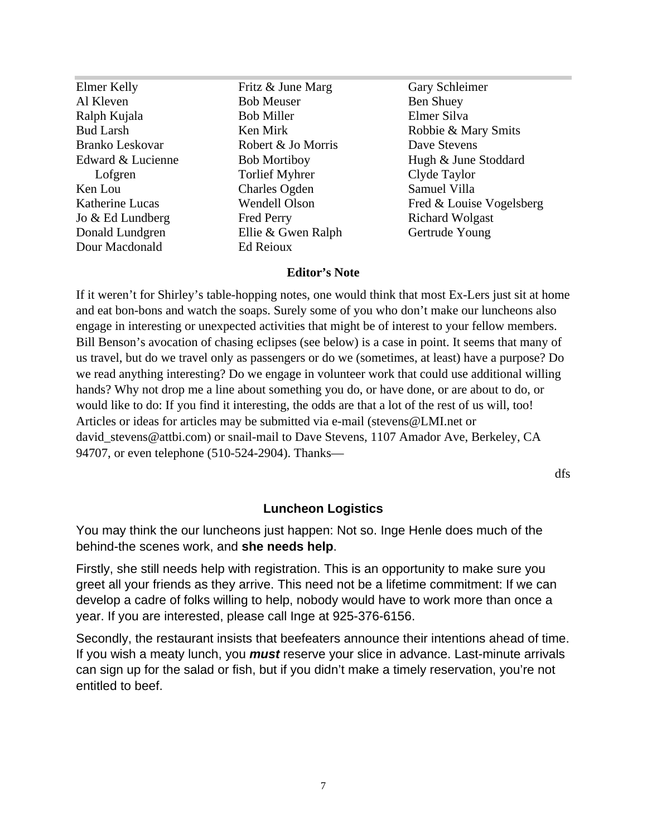Elmer Kelly Al Kleven Ralph Kujala Bud Larsh Branko Leskovar Edward & Lucienne Lofgren Ken Lou Katherine Lucas Jo & Ed Lundberg Donald Lundgren Dour Macdonald

Fritz & June Marg Bob Meuser Bob Miller Ken Mirk Robert & Jo Morris Bob Mortiboy Torlief Myhrer Charles Ogden Wendell Olson Fred Perry Ellie & Gwen Ralph Ed Reioux

Gary Schleimer Ben Shuey Elmer Silva Robbie & Mary Smits Dave Stevens Hugh & June Stoddard Clyde Taylor Samuel Villa Fred & Louise Vogelsberg Richard Wolgast Gertrude Young

#### **Editor's Note**

If it weren't for Shirley's table-hopping notes, one would think that most Ex-Lers just sit at home and eat bon-bons and watch the soaps. Surely some of you who don't make our luncheons also engage in interesting or unexpected activities that might be of interest to your fellow members. Bill Benson's avocation of chasing eclipses (see below) is a case in point. It seems that many of us travel, but do we travel only as passengers or do we (sometimes, at least) have a purpose? Do we read anything interesting? Do we engage in volunteer work that could use additional willing hands? Why not drop me a line about something you do, or have done, or are about to do, or would like to do: If you find it interesting, the odds are that a lot of the rest of us will, too! Articles or ideas for articles may be submitted via e-mail (stevens@LMI.net or david stevens@attbi.com) or snail-mail to Dave Stevens, 1107 Amador Ave, Berkeley, CA 94707, or even telephone (510-524-2904). Thanks—

dfs

#### **Luncheon Logistics**

You may think the our luncheons just happen: Not so. Inge Henle does much of the behind-the scenes work, and **she needs help**.

Firstly, she still needs help with registration. This is an opportunity to make sure you greet all your friends as they arrive. This need not be a lifetime commitment: If we can develop a cadre of folks willing to help, nobody would have to work more than once a year. If you are interested, please call Inge at 925-376-6156.

Secondly, the restaurant insists that beefeaters announce their intentions ahead of time. If you wish a meaty lunch, you *must* reserve your slice in advance. Last-minute arrivals can sign up for the salad or fish, but if you didn't make a timely reservation, you're not entitled to beef.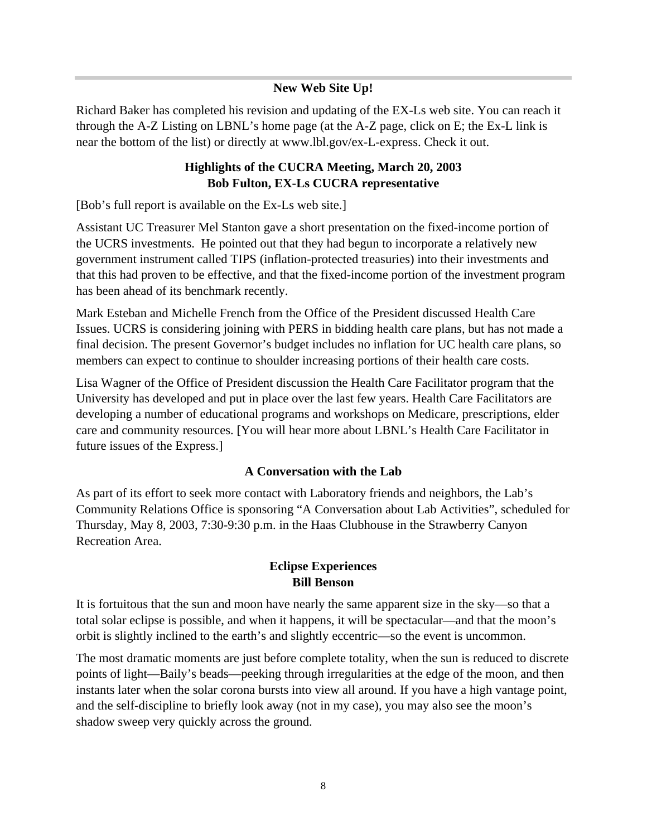#### **New Web Site Up!**

Richard Baker has completed his revision and updating of the EX-Ls web site. You can reach it through the A-Z Listing on LBNL's home page (at the A-Z page, click on E; the Ex-L link is near the bottom of the list) or directly at www.lbl.gov/ex-L-express. Check it out.

### **Highlights of the CUCRA Meeting, March 20, 2003 Bob Fulton, EX-Ls CUCRA representative**

[Bob's full report is available on the Ex-Ls web site.]

Assistant UC Treasurer Mel Stanton gave a short presentation on the fixed-income portion of the UCRS investments. He pointed out that they had begun to incorporate a relatively new government instrument called TIPS (inflation-protected treasuries) into their investments and that this had proven to be effective, and that the fixed-income portion of the investment program has been ahead of its benchmark recently.

Mark Esteban and Michelle French from the Office of the President discussed Health Care Issues. UCRS is considering joining with PERS in bidding health care plans, but has not made a final decision. The present Governor's budget includes no inflation for UC health care plans, so members can expect to continue to shoulder increasing portions of their health care costs.

Lisa Wagner of the Office of President discussion the Health Care Facilitator program that the University has developed and put in place over the last few years. Health Care Facilitators are developing a number of educational programs and workshops on Medicare, prescriptions, elder care and community resources. [You will hear more about LBNL's Health Care Facilitator in future issues of the Express.]

#### **A Conversation with the Lab**

As part of its effort to seek more contact with Laboratory friends and neighbors, the Lab's Community Relations Office is sponsoring "A Conversation about Lab Activities", scheduled for Thursday, May 8, 2003, 7:30-9:30 p.m. in the Haas Clubhouse in the Strawberry Canyon Recreation Area.

# **Eclipse Experiences Bill Benson**

It is fortuitous that the sun and moon have nearly the same apparent size in the sky—so that a total solar eclipse is possible, and when it happens, it will be spectacular—and that the moon's orbit is slightly inclined to the earth's and slightly eccentric—so the event is uncommon.

The most dramatic moments are just before complete totality, when the sun is reduced to discrete points of light—Baily's beads—peeking through irregularities at the edge of the moon, and then instants later when the solar corona bursts into view all around. If you have a high vantage point, and the self-discipline to briefly look away (not in my case), you may also see the moon's shadow sweep very quickly across the ground.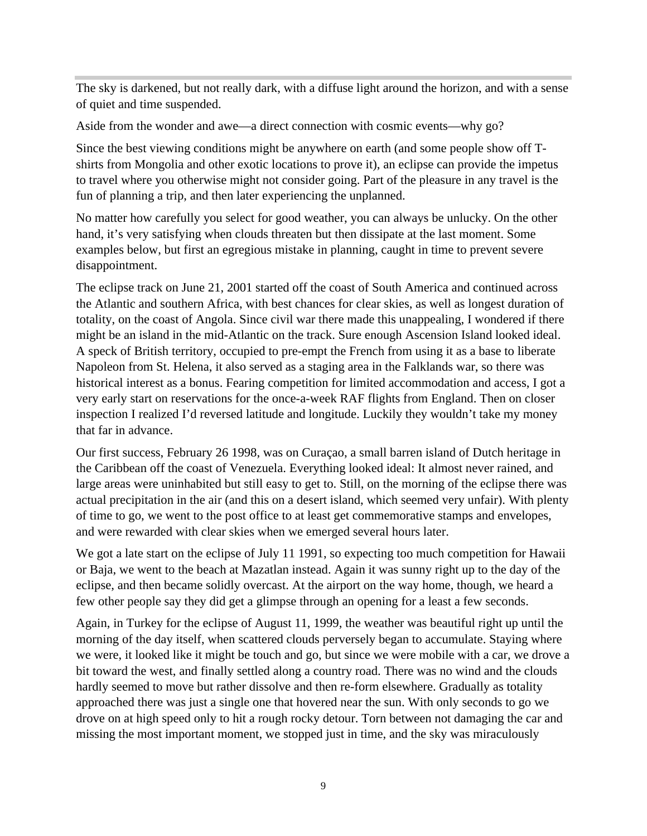The sky is darkened, but not really dark, with a diffuse light around the horizon, and with a sense of quiet and time suspended.

Aside from the wonder and awe—a direct connection with cosmic events—why go?

Since the best viewing conditions might be anywhere on earth (and some people show off Tshirts from Mongolia and other exotic locations to prove it), an eclipse can provide the impetus to travel where you otherwise might not consider going. Part of the pleasure in any travel is the fun of planning a trip, and then later experiencing the unplanned.

No matter how carefully you select for good weather, you can always be unlucky. On the other hand, it's very satisfying when clouds threaten but then dissipate at the last moment. Some examples below, but first an egregious mistake in planning, caught in time to prevent severe disappointment.

The eclipse track on June 21, 2001 started off the coast of South America and continued across the Atlantic and southern Africa, with best chances for clear skies, as well as longest duration of totality, on the coast of Angola. Since civil war there made this unappealing, I wondered if there might be an island in the mid-Atlantic on the track. Sure enough Ascension Island looked ideal. A speck of British territory, occupied to pre-empt the French from using it as a base to liberate Napoleon from St. Helena, it also served as a staging area in the Falklands war, so there was historical interest as a bonus. Fearing competition for limited accommodation and access, I got a very early start on reservations for the once-a-week RAF flights from England. Then on closer inspection I realized I'd reversed latitude and longitude. Luckily they wouldn't take my money that far in advance.

Our first success, February 26 1998, was on Curaçao, a small barren island of Dutch heritage in the Caribbean off the coast of Venezuela. Everything looked ideal: It almost never rained, and large areas were uninhabited but still easy to get to. Still, on the morning of the eclipse there was actual precipitation in the air (and this on a desert island, which seemed very unfair). With plenty of time to go, we went to the post office to at least get commemorative stamps and envelopes, and were rewarded with clear skies when we emerged several hours later.

We got a late start on the eclipse of July 11 1991, so expecting too much competition for Hawaii or Baja, we went to the beach at Mazatlan instead. Again it was sunny right up to the day of the eclipse, and then became solidly overcast. At the airport on the way home, though, we heard a few other people say they did get a glimpse through an opening for a least a few seconds.

Again, in Turkey for the eclipse of August 11, 1999, the weather was beautiful right up until the morning of the day itself, when scattered clouds perversely began to accumulate. Staying where we were, it looked like it might be touch and go, but since we were mobile with a car, we drove a bit toward the west, and finally settled along a country road. There was no wind and the clouds hardly seemed to move but rather dissolve and then re-form elsewhere. Gradually as totality approached there was just a single one that hovered near the sun. With only seconds to go we drove on at high speed only to hit a rough rocky detour. Torn between not damaging the car and missing the most important moment, we stopped just in time, and the sky was miraculously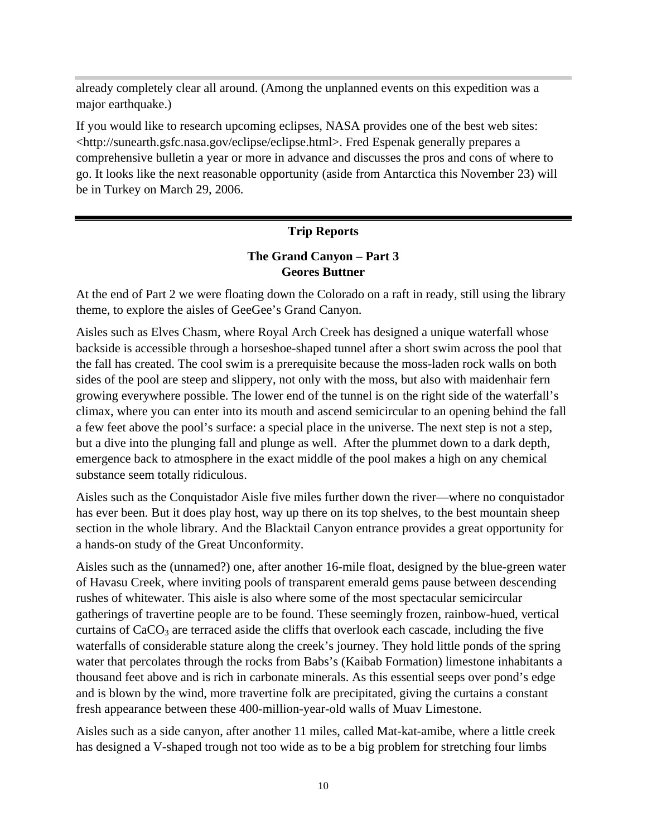already completely clear all around. (Among the unplanned events on this expedition was a major earthquake.)

If you would like to research upcoming eclipses, NASA provides one of the best web sites: <http://sunearth.gsfc.nasa.gov/eclipse/eclipse.html>. Fred Espenak generally prepares a comprehensive bulletin a year or more in advance and discusses the pros and cons of where to go. It looks like the next reasonable opportunity (aside from Antarctica this November 23) will be in Turkey on March 29, 2006.

#### **Trip Reports**

#### **The Grand Canyon – Part 3 Geores Buttner**

At the end of Part 2 we were floating down the Colorado on a raft in ready, still using the library theme, to explore the aisles of GeeGee's Grand Canyon.

Aisles such as Elves Chasm, where Royal Arch Creek has designed a unique waterfall whose backside is accessible through a horseshoe-shaped tunnel after a short swim across the pool that the fall has created. The cool swim is a prerequisite because the moss-laden rock walls on both sides of the pool are steep and slippery, not only with the moss, but also with maidenhair fern growing everywhere possible. The lower end of the tunnel is on the right side of the waterfall's climax, where you can enter into its mouth and ascend semicircular to an opening behind the fall a few feet above the pool's surface: a special place in the universe. The next step is not a step, but a dive into the plunging fall and plunge as well. After the plummet down to a dark depth, emergence back to atmosphere in the exact middle of the pool makes a high on any chemical substance seem totally ridiculous.

Aisles such as the Conquistador Aisle five miles further down the river—where no conquistador has ever been. But it does play host, way up there on its top shelves, to the best mountain sheep section in the whole library. And the Blacktail Canyon entrance provides a great opportunity for a hands-on study of the Great Unconformity.

Aisles such as the (unnamed?) one, after another 16-mile float, designed by the blue-green water of Havasu Creek, where inviting pools of transparent emerald gems pause between descending rushes of whitewater. This aisle is also where some of the most spectacular semicircular gatherings of travertine people are to be found. These seemingly frozen, rainbow-hued, vertical curtains of  $CaCO<sub>3</sub>$  are terraced aside the cliffs that overlook each cascade, including the five waterfalls of considerable stature along the creek's journey. They hold little ponds of the spring water that percolates through the rocks from Babs's (Kaibab Formation) limestone inhabitants a thousand feet above and is rich in carbonate minerals. As this essential seeps over pond's edge and is blown by the wind, more travertine folk are precipitated, giving the curtains a constant fresh appearance between these 400-million-year-old walls of Muav Limestone.

Aisles such as a side canyon, after another 11 miles, called Mat-kat-amibe, where a little creek has designed a V-shaped trough not too wide as to be a big problem for stretching four limbs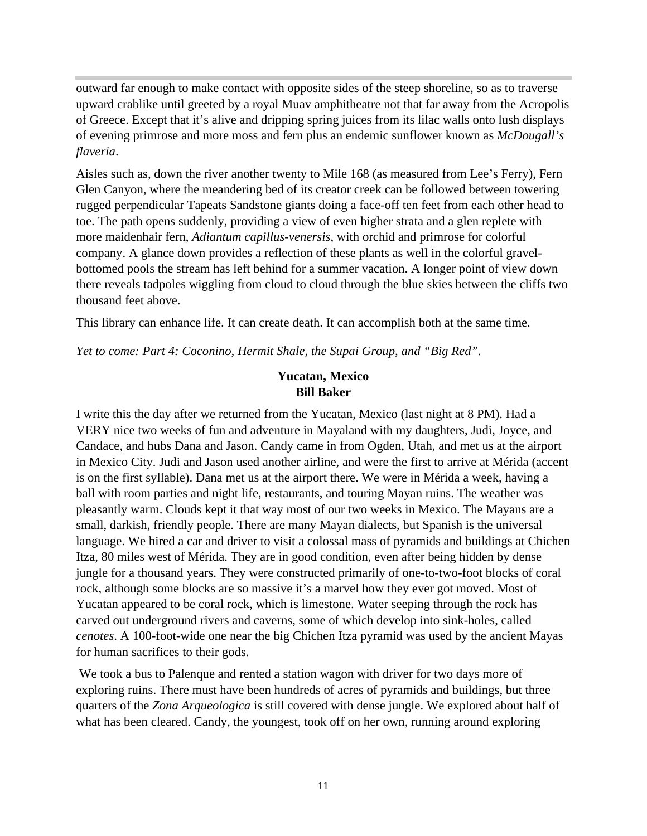outward far enough to make contact with opposite sides of the steep shoreline, so as to traverse upward crablike until greeted by a royal Muav amphitheatre not that far away from the Acropolis of Greece. Except that it's alive and dripping spring juices from its lilac walls onto lush displays of evening primrose and more moss and fern plus an endemic sunflower known as *McDougall's flaveria*.

Aisles such as, down the river another twenty to Mile 168 (as measured from Lee's Ferry), Fern Glen Canyon, where the meandering bed of its creator creek can be followed between towering rugged perpendicular Tapeats Sandstone giants doing a face-off ten feet from each other head to toe. The path opens suddenly, providing a view of even higher strata and a glen replete with more maidenhair fern, *Adiantum capillus-venersis*, with orchid and primrose for colorful company. A glance down provides a reflection of these plants as well in the colorful gravelbottomed pools the stream has left behind for a summer vacation. A longer point of view down there reveals tadpoles wiggling from cloud to cloud through the blue skies between the cliffs two thousand feet above.

This library can enhance life. It can create death. It can accomplish both at the same time.

*Yet to come: Part 4: Coconino, Hermit Shale, the Supai Group, and "Big Red".*

#### **Yucatan, Mexico Bill Baker**

I write this the day after we returned from the Yucatan, Mexico (last night at 8 PM). Had a VERY nice two weeks of fun and adventure in Mayaland with my daughters, Judi, Joyce, and Candace, and hubs Dana and Jason. Candy came in from Ogden, Utah, and met us at the airport in Mexico City. Judi and Jason used another airline, and were the first to arrive at Mérida (accent is on the first syllable). Dana met us at the airport there. We were in Mérida a week, having a ball with room parties and night life, restaurants, and touring Mayan ruins. The weather was pleasantly warm. Clouds kept it that way most of our two weeks in Mexico. The Mayans are a small, darkish, friendly people. There are many Mayan dialects, but Spanish is the universal language. We hired a car and driver to visit a colossal mass of pyramids and buildings at Chichen Itza, 80 miles west of Mérida. They are in good condition, even after being hidden by dense jungle for a thousand years. They were constructed primarily of one-to-two-foot blocks of coral rock, although some blocks are so massive it's a marvel how they ever got moved. Most of Yucatan appeared to be coral rock, which is limestone. Water seeping through the rock has carved out underground rivers and caverns, some of which develop into sink-holes, called *cenotes*. A 100-foot-wide one near the big Chichen Itza pyramid was used by the ancient Mayas for human sacrifices to their gods.

 We took a bus to Palenque and rented a station wagon with driver for two days more of exploring ruins. There must have been hundreds of acres of pyramids and buildings, but three quarters of the *Zona Arqueologica* is still covered with dense jungle. We explored about half of what has been cleared. Candy, the youngest, took off on her own, running around exploring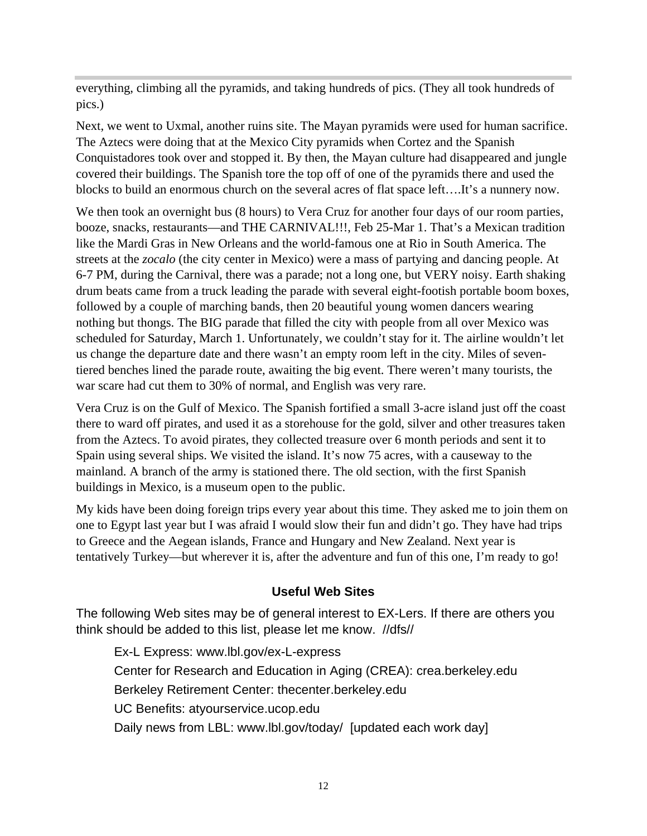everything, climbing all the pyramids, and taking hundreds of pics. (They all took hundreds of pics.)

Next, we went to Uxmal, another ruins site. The Mayan pyramids were used for human sacrifice. The Aztecs were doing that at the Mexico City pyramids when Cortez and the Spanish Conquistadores took over and stopped it. By then, the Mayan culture had disappeared and jungle covered their buildings. The Spanish tore the top off of one of the pyramids there and used the blocks to build an enormous church on the several acres of flat space left….It's a nunnery now.

We then took an overnight bus (8 hours) to Vera Cruz for another four days of our room parties, booze, snacks, restaurants—and THE CARNIVAL!!!, Feb 25-Mar 1. That's a Mexican tradition like the Mardi Gras in New Orleans and the world-famous one at Rio in South America. The streets at the *zocalo* (the city center in Mexico) were a mass of partying and dancing people. At 6-7 PM, during the Carnival, there was a parade; not a long one, but VERY noisy. Earth shaking drum beats came from a truck leading the parade with several eight-footish portable boom boxes, followed by a couple of marching bands, then 20 beautiful young women dancers wearing nothing but thongs. The BIG parade that filled the city with people from all over Mexico was scheduled for Saturday, March 1. Unfortunately, we couldn't stay for it. The airline wouldn't let us change the departure date and there wasn't an empty room left in the city. Miles of seventiered benches lined the parade route, awaiting the big event. There weren't many tourists, the war scare had cut them to 30% of normal, and English was very rare.

Vera Cruz is on the Gulf of Mexico. The Spanish fortified a small 3-acre island just off the coast there to ward off pirates, and used it as a storehouse for the gold, silver and other treasures taken from the Aztecs. To avoid pirates, they collected treasure over 6 month periods and sent it to Spain using several ships. We visited the island. It's now 75 acres, with a causeway to the mainland. A branch of the army is stationed there. The old section, with the first Spanish buildings in Mexico, is a museum open to the public.

My kids have been doing foreign trips every year about this time. They asked me to join them on one to Egypt last year but I was afraid I would slow their fun and didn't go. They have had trips to Greece and the Aegean islands, France and Hungary and New Zealand. Next year is tentatively Turkey—but wherever it is, after the adventure and fun of this one, I'm ready to go!

# **Useful Web Sites**

The following Web sites may be of general interest to EX-Lers. If there are others you think should be added to this list, please let me know. //dfs//

Ex-L Express: www.lbl.gov/ex-L-express Center for Research and Education in Aging (CREA): crea.berkeley.edu Berkeley Retirement Center: thecenter.berkeley.edu UC Benefits: atyourservice.ucop.edu Daily news from LBL: www.lbl.gov/today/ [updated each work day]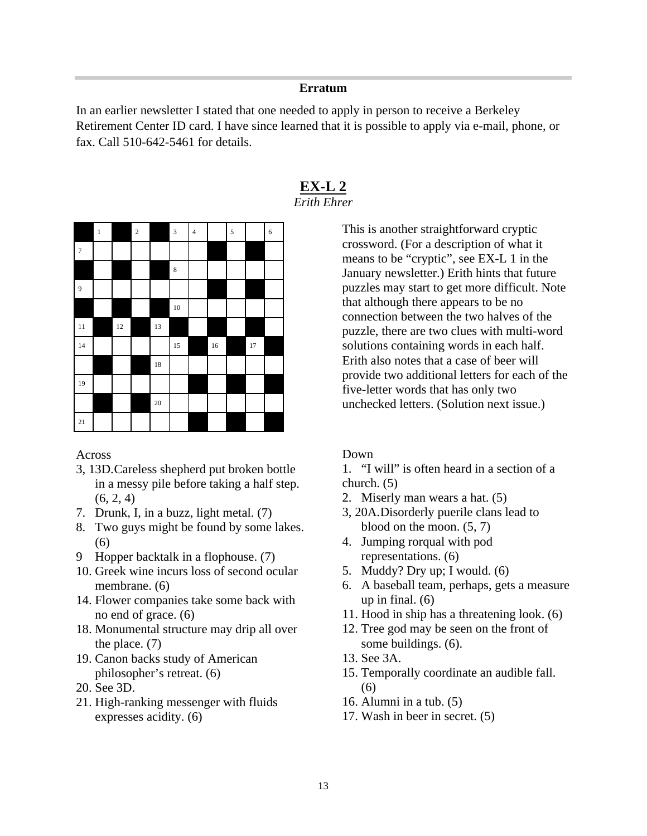#### **Erratum**

In an earlier newsletter I stated that one needed to apply in person to receive a Berkeley Retirement Center ID card. I have since learned that it is possible to apply via e-mail, phone, or fax. Call 510-642-5461 for details.



**EX-L 2** *Erith Ehrer*

> This is another straightforward cryptic crossword. (For a description of what it means to be "cryptic", see EX-L 1 in the January newsletter.) Erith hints that future puzzles may start to get more difficult. Note that although there appears to be no connection between the two halves of the puzzle, there are two clues with multi-word solutions containing words in each half. Erith also notes that a case of beer will provide two additional letters for each of the five-letter words that has only two unchecked letters. (Solution next issue.)

#### Across

- 3, 13D.Careless shepherd put broken bottle in a messy pile before taking a half step.  $(6, 2, 4)$
- 7. Drunk, I, in a buzz, light metal. (7)
- 8. Two guys might be found by some lakes. (6)
- 9 Hopper backtalk in a flophouse. (7)
- 10. Greek wine incurs loss of second ocular membrane. (6)
- 14. Flower companies take some back with no end of grace. (6)
- 18. Monumental structure may drip all over the place. (7)
- 19. Canon backs study of American philosopher's retreat. (6)
- 20. See 3D.
- 21. High-ranking messenger with fluids expresses acidity. (6)

#### Down

- 1. "I will" is often heard in a section of a church. (5)
- 2. Miserly man wears a hat. (5)
- 3, 20A.Disorderly puerile clans lead to blood on the moon. (5, 7)
- 4. Jumping rorqual with pod representations. (6)
- 5. Muddy? Dry up; I would. (6)
- 6. A baseball team, perhaps, gets a measure up in final. (6)
- 11. Hood in ship has a threatening look. (6)
- 12. Tree god may be seen on the front of some buildings. (6).
- 13. See 3A.
- 15. Temporally coordinate an audible fall.  $(6)$
- 16. Alumni in a tub. (5)
- 17. Wash in beer in secret. (5)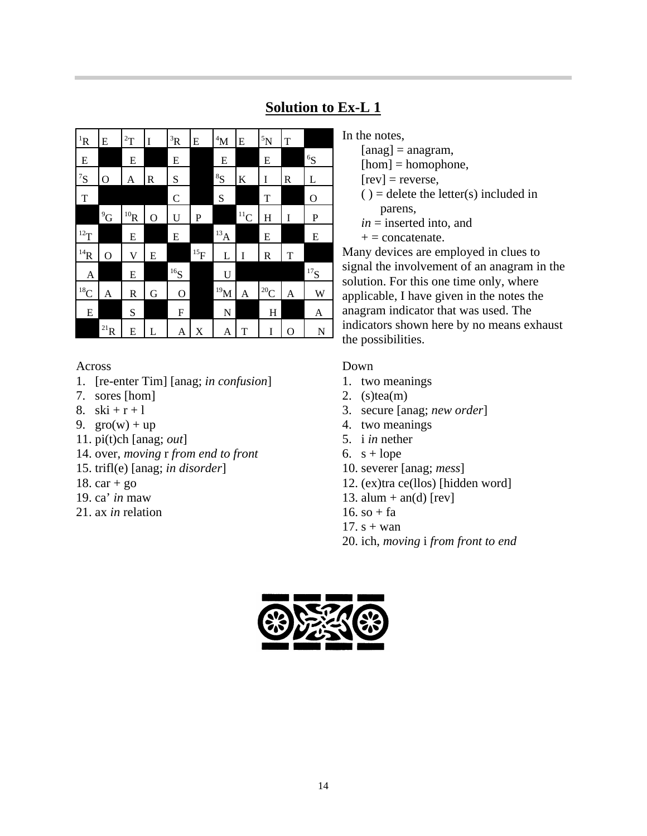| ${}^{1}R$         | E                 | $\rm ^{2}T$       | I              | ${}^{3}R$           | E          | 4M                 | E            | ${}^{5}N$         | T |             |
|-------------------|-------------------|-------------------|----------------|---------------------|------------|--------------------|--------------|-------------------|---|-------------|
| E                 |                   | E                 |                | ${\bf E}$           |            | ${\bf E}$          |              | ${\bf E}$         |   | ${}^6S$     |
| ${}^{7}S$         | O                 | A                 | R              | S                   |            | ${}^{8}S$          | K            | I                 | R | L           |
| T                 |                   |                   |                | $\mathcal{C}$       |            | S                  |              | T                 |   | $\mathbf O$ |
|                   | $^{9}G$           | $^{10}\mathrm{R}$ | $\overline{O}$ | U                   | P          |                    | $\rm ^{11}C$ | H                 | I | P           |
| $^{12}\mathrm{T}$ |                   | E                 |                | E                   |            | $^{13} \mathrm{A}$ |              | E                 |   | E           |
| $^{14}\mathrm{R}$ | 0                 | V                 | E              |                     | $^{15}\!F$ | L                  | I            | R                 | T |             |
| A                 |                   | E                 |                | ${}^{16}\mathrm{S}$ |            | U                  |              |                   |   | $^{17}\!S$  |
| $^{18}$ C         | A                 | R                 | G              | $\mathbf{O}$        |            | $^{19}$ M          | A            | $^{20}\mathrm{C}$ | A | W           |
| E                 |                   | S                 |                | F                   |            | N                  |              | H                 |   | A           |
|                   | $^{21}\mathrm{R}$ | E                 | L              | A                   | X          | A                  | T            | I                 | O | N           |

# **Solution to Ex-L 1**

Across

- 1. [re-enter Tim] [anag; *in confusion*]
- 7. sores [hom]
- 8.  $ski + r + 1$
- 9.  $\text{gro}(w) + \text{up}$
- 11. pi(t)ch [anag; *out*]
- 14. over, *moving* r *from end to front*
- 15. trifl(e) [anag; *in disorder*]
- 18.  $car + go$
- 19. ca' *in* maw
- 21. ax *in* relation

In the notes,

 $[ang] = anagram,$ 

 $[hom] = homophone,$ 

 $[rev]$  = reverse,

 $()$  = delete the letter(s) included in parens,

 $in =$  inserted into, and

 $+ =$  concatenate.

Many devices are employed in clues to signal the involvement of an anagram in the solution. For this one time only, where applicable, I have given in the notes the anagram indicator that was used. The indicators shown here by no means exhaust the possibilities.

#### Down

- 1. two meanings
- 2.  $(s)$ tea $(m)$
- 3. secure [anag; *new order*]
- 4. two meanings
- 5. i *in* nether
- 6.  $s + l$ ope
- 10. severer [anag; *mess*]
- 12. (ex)tra ce(llos) [hidden word]
- 13. alum + an(d) [rev]
- 16. so  $+$  fa
- 17.  $s + wan$
- 20. ich, *moving* i *from front to end*

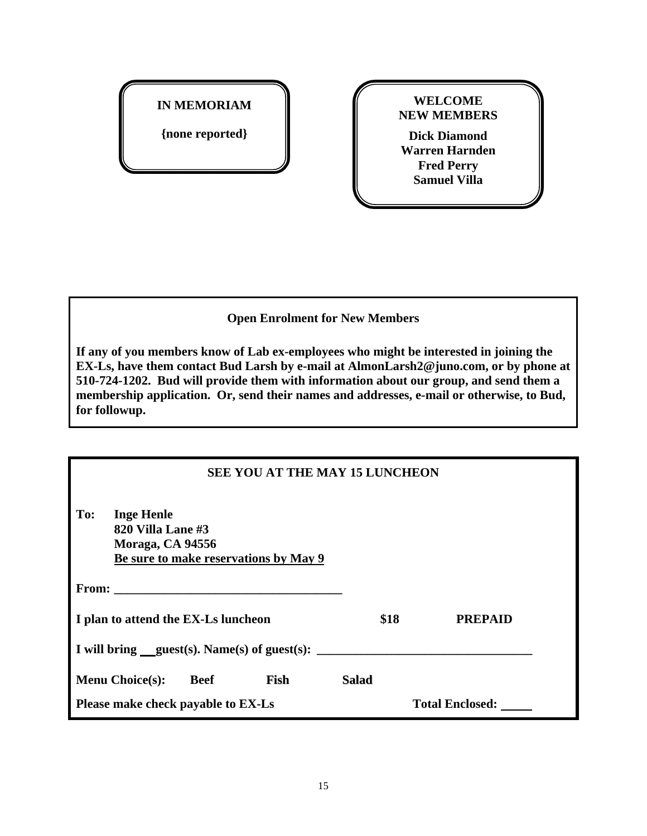# **IN MEMORIAM**

**{none reported}**

**WELCOME NEW MEMBERS**

**Dick Diamond Warren Harnden Fred Perry Samuel Villa**

#### **Open Enrolment for New Members**

**If any of you members know of Lab ex-employees who might be interested in joining the EX-Ls, have them contact Bud Larsh by e-mail at AlmonLarsh2@juno.com, or by phone at 510-724-1202. Bud will provide them with information about our group, and send them a membership application. Or, send their names and addresses, e-mail or otherwise, to Bud, for followup.**

| <b>SEE YOU AT THE MAY 15 LUNCHEON</b>                                                                                                                                                                                          |                        |                |  |  |  |  |  |
|--------------------------------------------------------------------------------------------------------------------------------------------------------------------------------------------------------------------------------|------------------------|----------------|--|--|--|--|--|
| <b>Inge Henle</b><br>To:<br>820 Villa Lane #3<br>Moraga, CA 94556<br>Be sure to make reservations by May 9                                                                                                                     |                        |                |  |  |  |  |  |
| From: the contract of the contract of the contract of the contract of the contract of the contract of the contract of the contract of the contract of the contract of the contract of the contract of the contract of the cont |                        |                |  |  |  |  |  |
| I plan to attend the EX-Ls luncheon                                                                                                                                                                                            | \$18                   | <b>PREPAID</b> |  |  |  |  |  |
| I will bring guest(s). Name(s) of guest(s): $\frac{1}{\sqrt{2\pi}}$                                                                                                                                                            |                        |                |  |  |  |  |  |
| <b>Menu Choice(s):</b><br>Beef<br>Fish                                                                                                                                                                                         | <b>Salad</b>           |                |  |  |  |  |  |
| Please make check payable to EX-Ls                                                                                                                                                                                             | <b>Total Enclosed:</b> |                |  |  |  |  |  |